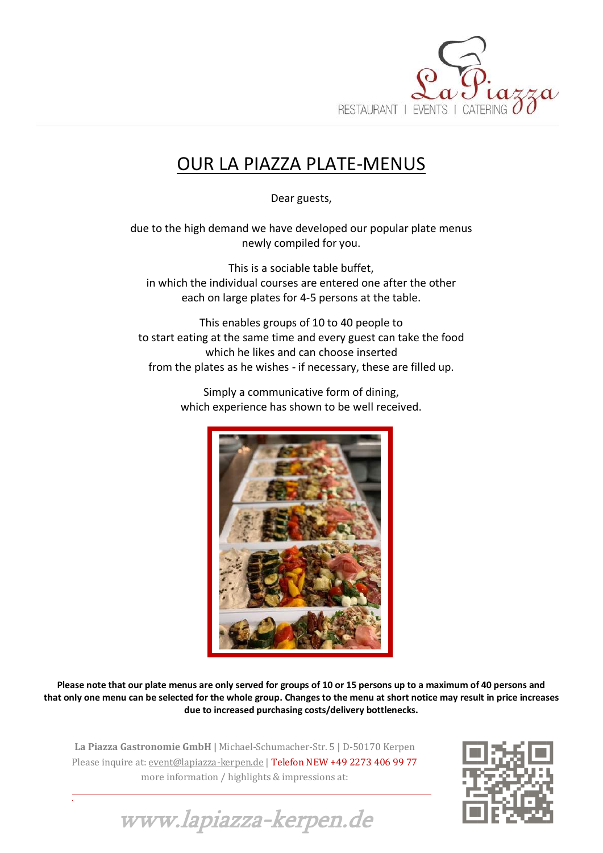

# OUR LA PIAZZA PLATE-MENUS

Dear guests,

due to the high demand we have developed our popular plate menus newly compiled for you.

This is a sociable table buffet, in which the individual courses are entered one after the other each on large plates for 4-5 persons at the table.

This enables groups of 10 to 40 people to to start eating at the same time and every guest can take the food which he likes and can choose inserted from the plates as he wishes - if necessary, these are filled up.

> Simply a communicative form of dining, which experience has shown to be well received.



**Please note that our plate menus are only served for groups of 10 or 15 persons up to a maximum of 40 persons and that only one menu can be selected for the whole group. Changes to the menu at short notice may result in price increases due to increased purchasing costs/delivery bottlenecks.**

**La Piazza Gastronomie GmbH |** Michael-Schumacher-Str. 5 | D-50170 Kerpen Please inquire at: [event@lapiazza-kerpen.de](mailto:event@lapiazza-kerpen.de) | Telefon NEW +49 2273 406 99 77 more information / highlights & impressions at:



www.lapiazza-kerpen.de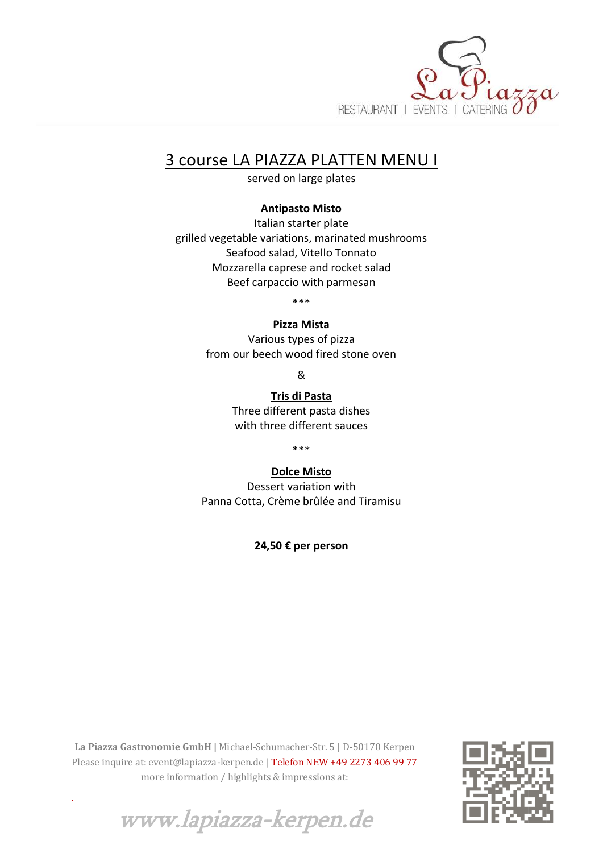

## 3 course LA PIAZZA PLATTEN MENU I

served on large plates

#### **Antipasto Misto**

Italian starter plate grilled vegetable variations, marinated mushrooms Seafood salad, Vitello Tonnato Mozzarella caprese and rocket salad Beef carpaccio with parmesan

\*\*\*

#### **Pizza Mista**

Various types of pizza from our beech wood fired stone oven

&

**Tris di Pasta** Three different pasta dishes with three different sauces

\*\*\*

#### **Dolce Misto**

Dessert variation with Panna Cotta, Crème brûlée and Tiramisu

**24,50 € per person**

**La Piazza Gastronomie GmbH |** Michael-Schumacher-Str. 5 | D-50170 Kerpen Please inquire at: [event@lapiazza-kerpen.de](mailto:event@lapiazza-kerpen.de) | Telefon NEW +49 2273 406 99 77 more information / highlights & impressions at:



www.lapiazza-kerpen.de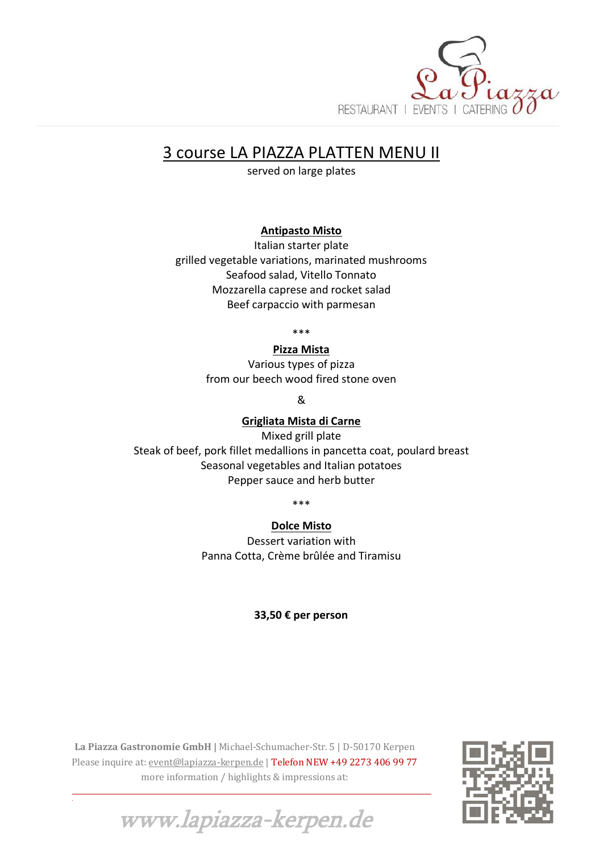

## 3 course LA PIAZZA PLATTEN MENU II

served on large plates

### **Antipasto Misto**

Italian starter plate grilled vegetable variations, marinated mushrooms Seafood salad, Vitello Tonnato Mozzarella caprese and rocket salad Beef carpaccio with parmesan

\*\*\*

### **Pizza Mista**

Various types of pizza from our beech wood fired stone oven

&

#### **Grigliata Mista di Carne**

Mixed grill plate Steak of beef, pork fillet medallions in pancetta coat, poulard breast Seasonal vegetables and Italian potatoes Pepper sauce and herb butter

\*\*\*

**Dolce Misto** Dessert variation with Panna Cotta, Crème brûlée and Tiramisu

**33,50 € per person**

**La Piazza Gastronomie GmbH |** Michael-Schumacher-Str. 5 | D-50170 Kerpen Please inquire at: [event@lapiazza-kerpen.de](mailto:event@lapiazza-kerpen.de) | Telefon NEW +49 2273 406 99 77 more information / highlights & impressions at:



www.lapiazza-kerpen.de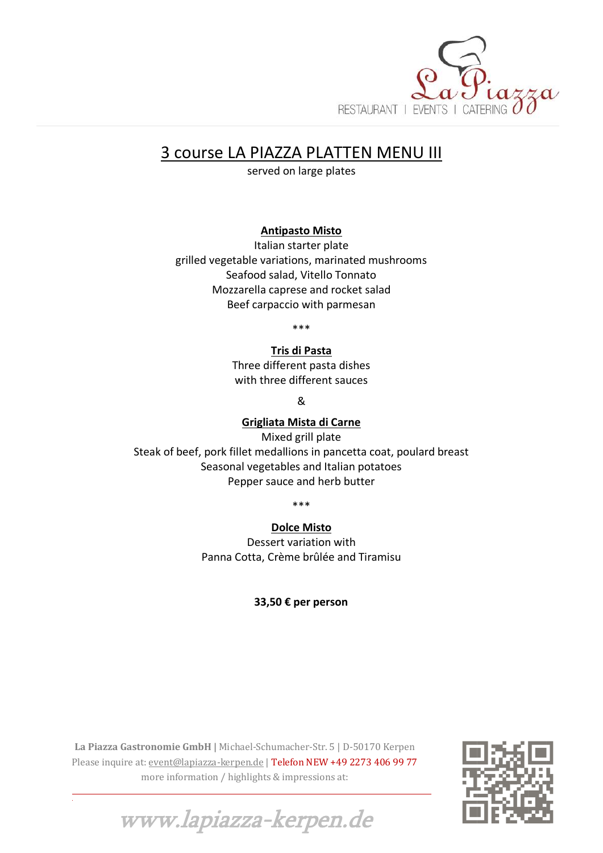

## 3 course LA PIAZZA PLATTEN MENU III

served on large plates

### **Antipasto Misto**

Italian starter plate grilled vegetable variations, marinated mushrooms Seafood salad, Vitello Tonnato Mozzarella caprese and rocket salad Beef carpaccio with parmesan

\*\*\*

**Tris di Pasta** Three different pasta dishes with three different sauces

&

**Grigliata Mista di Carne**

Mixed grill plate Steak of beef, pork fillet medallions in pancetta coat, poulard breast Seasonal vegetables and Italian potatoes Pepper sauce and herb butter

\*\*\*

**Dolce Misto** Dessert variation with Panna Cotta, Crème brûlée and Tiramisu

**33,50 € per person**

**La Piazza Gastronomie GmbH |** Michael-Schumacher-Str. 5 | D-50170 Kerpen Please inquire at: [event@lapiazza-kerpen.de](mailto:event@lapiazza-kerpen.de) | Telefon NEW +49 2273 406 99 77 more information / highlights & impressions at:



www.lapiazza-kerpen.de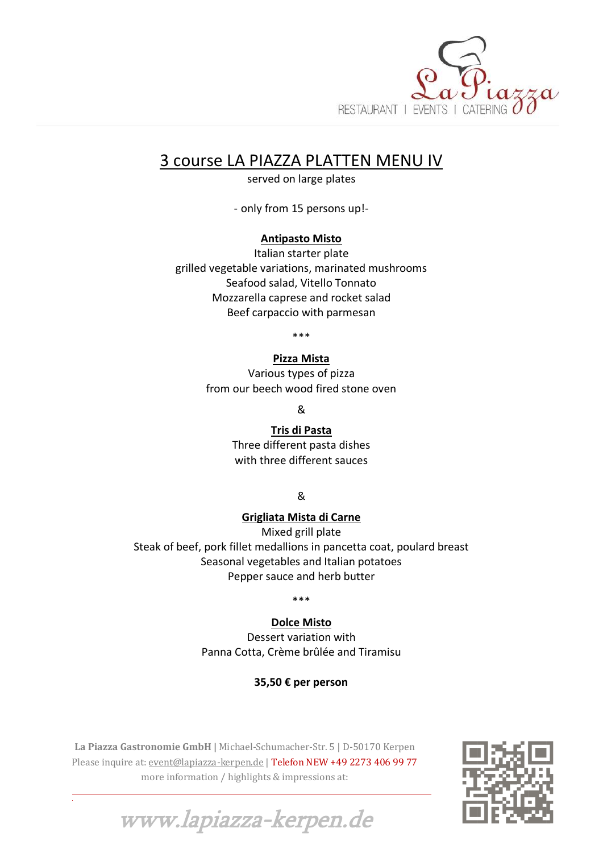

## 3 course LA PIAZZA PLATTEN MENU IV

served on large plates

- only from 15 persons up!-

#### **Antipasto Misto**

Italian starter plate grilled vegetable variations, marinated mushrooms Seafood salad, Vitello Tonnato Mozzarella caprese and rocket salad Beef carpaccio with parmesan

\*\*\*

#### **Pizza Mista**

Various types of pizza from our beech wood fired stone oven

&

**Tris di Pasta** Three different pasta dishes with three different sauces

&

#### **Grigliata Mista di Carne**

Mixed grill plate Steak of beef, pork fillet medallions in pancetta coat, poulard breast Seasonal vegetables and Italian potatoes Pepper sauce and herb butter

\*\*\*

**Dolce Misto** Dessert variation with Panna Cotta, Crème brûlée and Tiramisu

#### **35,50 € per person**

**La Piazza Gastronomie GmbH |** Michael-Schumacher-Str. 5 | D-50170 Kerpen Please inquire at: [event@lapiazza-kerpen.de](mailto:event@lapiazza-kerpen.de) | Telefon NEW +49 2273 406 99 77 more information / highlights & impressions at:



www.lapiazza-kerpen.de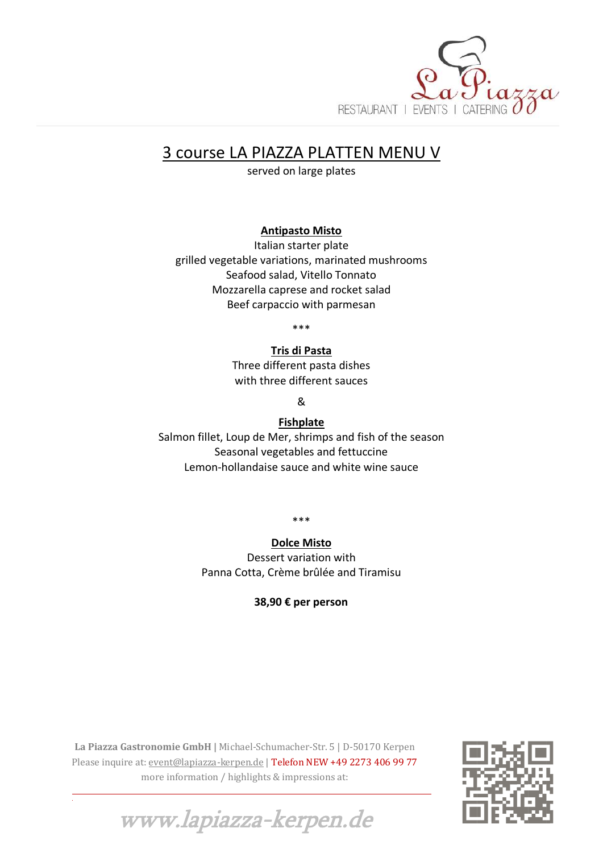

## 3 course LA PIAZZA PLATTEN MENU V

served on large plates

#### **Antipasto Misto**

Italian starter plate grilled vegetable variations, marinated mushrooms Seafood salad, Vitello Tonnato Mozzarella caprese and rocket salad Beef carpaccio with parmesan

\*\*\*

**Tris di Pasta** Three different pasta dishes with three different sauces

&

### **Fishplate**

Salmon fillet, Loup de Mer, shrimps and fish of the season Seasonal vegetables and fettuccine Lemon-hollandaise sauce and white wine sauce

\*\*\*

## **Dolce Misto**

Dessert variation with Panna Cotta, Crème brûlée and Tiramisu

**38,90 € per person**

**La Piazza Gastronomie GmbH |** Michael-Schumacher-Str. 5 | D-50170 Kerpen Please inquire at: [event@lapiazza-kerpen.de](mailto:event@lapiazza-kerpen.de) | Telefon NEW +49 2273 406 99 77 more information / highlights & impressions at:



www.lapiazza-kerpen.de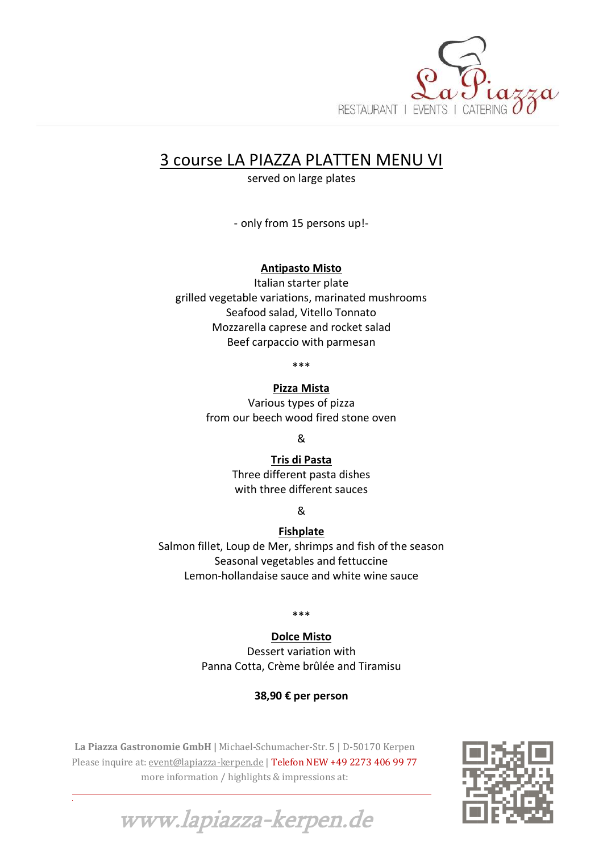

## 3 course LA PIAZZA PLATTEN MENU VI

served on large plates

- only from 15 persons up!-

#### **Antipasto Misto**

Italian starter plate grilled vegetable variations, marinated mushrooms Seafood salad, Vitello Tonnato Mozzarella caprese and rocket salad Beef carpaccio with parmesan

\*\*\*

#### **Pizza Mista**

Various types of pizza from our beech wood fired stone oven

&

**Tris di Pasta**

Three different pasta dishes with three different sauces

&

**Fishplate**

Salmon fillet, Loup de Mer, shrimps and fish of the season Seasonal vegetables and fettuccine Lemon-hollandaise sauce and white wine sauce

\*\*\*

## **Dolce Misto**

Dessert variation with Panna Cotta, Crème brûlée and Tiramisu

## **38,90 € per person**

**La Piazza Gastronomie GmbH |** Michael-Schumacher-Str. 5 | D-50170 Kerpen Please inquire at: [event@lapiazza-kerpen.de](mailto:event@lapiazza-kerpen.de) | Telefon NEW +49 2273 406 99 77 more information / highlights & impressions at:



www.lapiazza-kerpen.de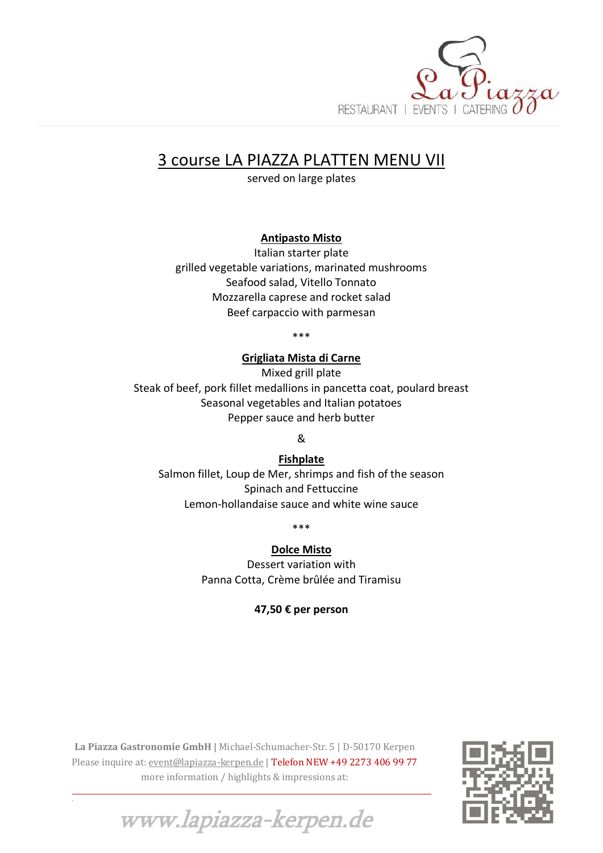

## 3 course LA PIAZZA PLATTEN MENU VII

served on large plates

**Antipasto Misto**

Italian starter plate grilled vegetable variations, marinated mushrooms Seafood salad, Vitello Tonnato Mozzarella caprese and rocket salad Beef carpaccio with parmesan

\*\*\*

## **Grigliata Mista di Carne**

Mixed grill plate Steak of beef, pork fillet medallions in pancetta coat, poulard breast Seasonal vegetables and Italian potatoes Pepper sauce and herb butter

&

## **Fishplate**

Salmon fillet, Loup de Mer, shrimps and fish of the season Spinach and Fettuccine Lemon-hollandaise sauce and white wine sauce

\*\*\*

**Dolce Misto** Dessert variation with Panna Cotta, Crème brûlée and Tiramisu

**47,50 € per person**

**La Piazza Gastronomie GmbH |** Michael-Schumacher-Str. 5 | D-50170 Kerpen Please inquire at: [event@lapiazza-kerpen.de](mailto:event@lapiazza-kerpen.de) | Telefon NEW +49 2273 406 99 77 more information / highlights & impressions at:



www.lapiazza-kerpen.de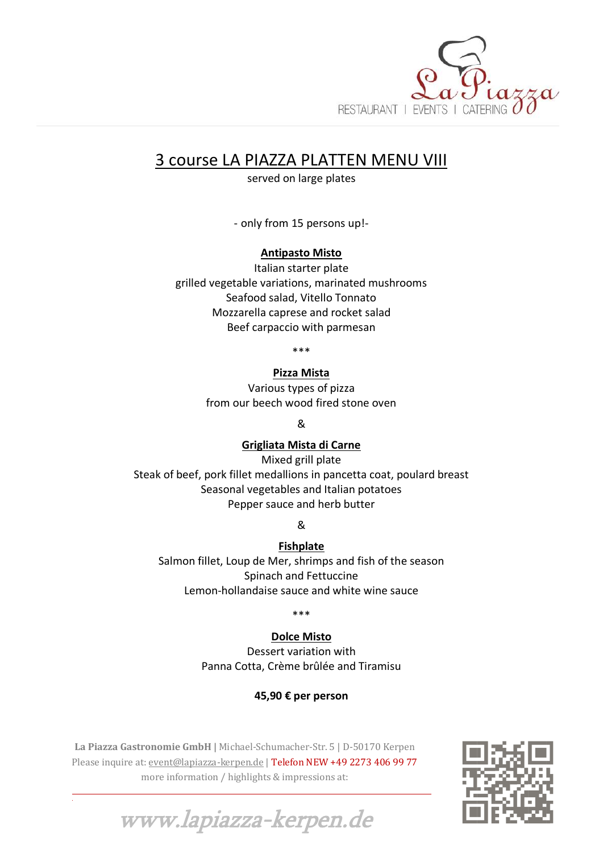

## 3 course LA PIAZZA PLATTEN MENU VIII

served on large plates

- only from 15 persons up!-

## **Antipasto Misto**

Italian starter plate grilled vegetable variations, marinated mushrooms Seafood salad, Vitello Tonnato Mozzarella caprese and rocket salad Beef carpaccio with parmesan

\*\*\*

## **Pizza Mista**

Various types of pizza from our beech wood fired stone oven

&

## **Grigliata Mista di Carne**

Mixed grill plate Steak of beef, pork fillet medallions in pancetta coat, poulard breast Seasonal vegetables and Italian potatoes Pepper sauce and herb butter

&

**Fishplate**

Salmon fillet, Loup de Mer, shrimps and fish of the season Spinach and Fettuccine Lemon-hollandaise sauce and white wine sauce

\*\*\*

## **Dolce Misto**

Dessert variation with Panna Cotta, Crème brûlée and Tiramisu

## **45,90 € per person**

**La Piazza Gastronomie GmbH |** Michael-Schumacher-Str. 5 | D-50170 Kerpen Please inquire at: [event@lapiazza-kerpen.de](mailto:event@lapiazza-kerpen.de) | Telefon NEW +49 2273 406 99 77 more information / highlights & impressions at:



www.lapiazza-kerpen.de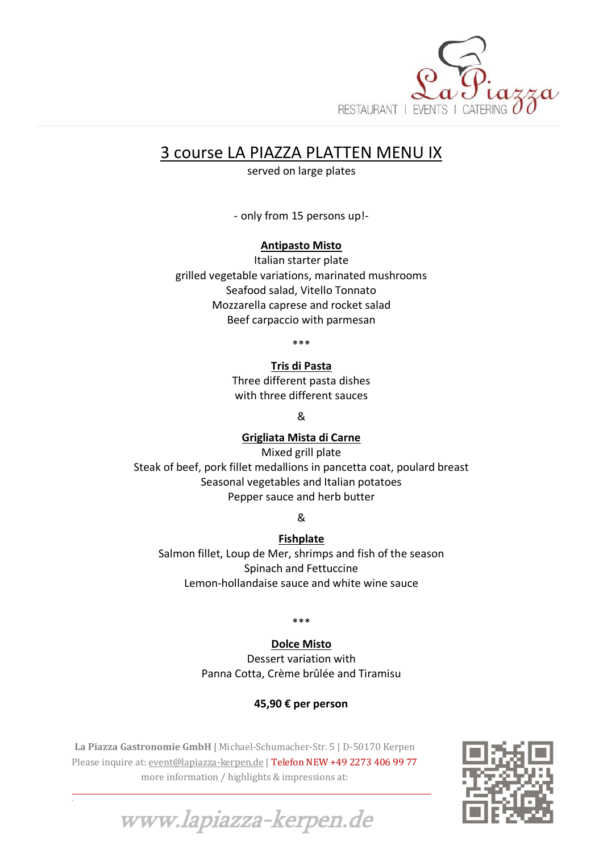

## 3 course LA PIAZZA PLATTEN MENU IX

### served on large plates

- only from 15 persons up!-

### **Antipasto Misto**

Italian starter plate grilled vegetable variations, marinated mushrooms Seafood salad, Vitello Tonnato Mozzarella caprese and rocket salad Beef carpaccio with parmesan

\*\*\*

### **Tris di Pasta**

Three different pasta dishes with three different sauces

&

## **Grigliata Mista di Carne**

Mixed grill plate Steak of beef, pork fillet medallions in pancetta coat, poulard breast Seasonal vegetables and Italian potatoes Pepper sauce and herb butter

&

**Fishplate** Salmon fillet, Loup de Mer, shrimps and fish of the season Spinach and Fettuccine Lemon-hollandaise sauce and white wine sauce

\*\*\*

## **Dolce Misto**

Dessert variation with Panna Cotta, Crème brûlée and Tiramisu

## **45,90 € per person**

**La Piazza Gastronomie GmbH |** Michael-Schumacher-Str. 5 | D-50170 Kerpen Please inquire at: [event@lapiazza-kerpen.de](mailto:event@lapiazza-kerpen.de) | Telefon NEW +49 2273 406 99 77 more information / highlights & impressions at:



www.lapiazza-kerpen.de